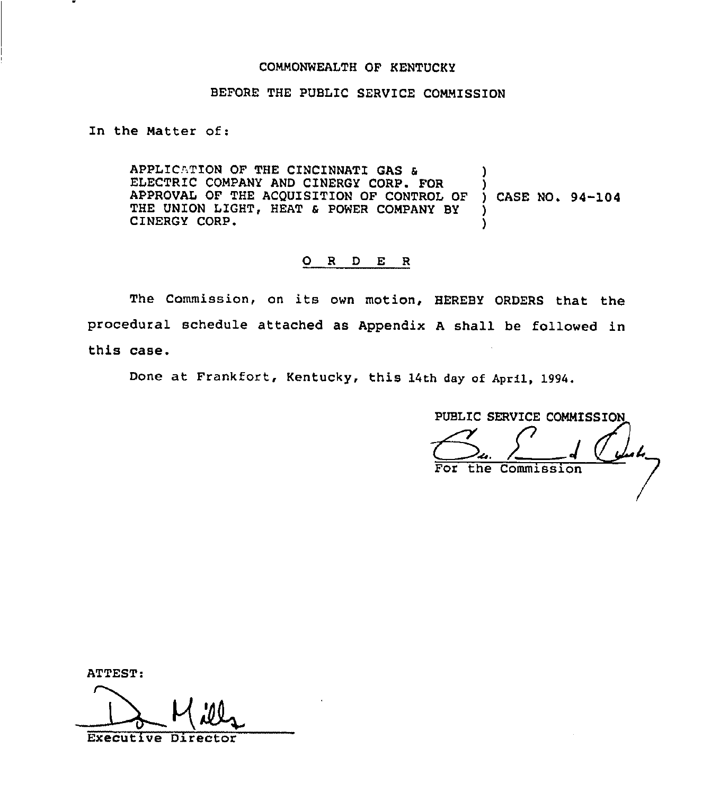## COMMONWEALTH OF KENTUCKY

## BEFORE THE PUBLIC SERVICE COMMISSION

In the Matter of:

APPLICATION OF THE CINCINNATI GAS & ELECTRIC COMPANY AND CINERGY CORP. FOR )<br>APPROVAL OF THE ACQUISITION OF CONTROL OF ) CASE NO. 94-104 APPROVAL OF THE ACQUISITION OF CONTROL OF THE UNION LIGHT, HEAT & POWER COMPANY BY CINERGY CORP.

## 0 <sup>R</sup> <sup>D</sup> E <sup>R</sup>

The Commission, on its own motion, HEREBY ORDERS that the procedural schedule attached as Appendix <sup>A</sup> shall be followed in this case.

Done at Frankfort, Kentucky, this 14th day of April, 1994,

PUBLIC SERVICE COMMISSION For the Commission

| ATTEST:                   |  |
|---------------------------|--|
|                           |  |
|                           |  |
|                           |  |
| <b>Executive Director</b> |  |